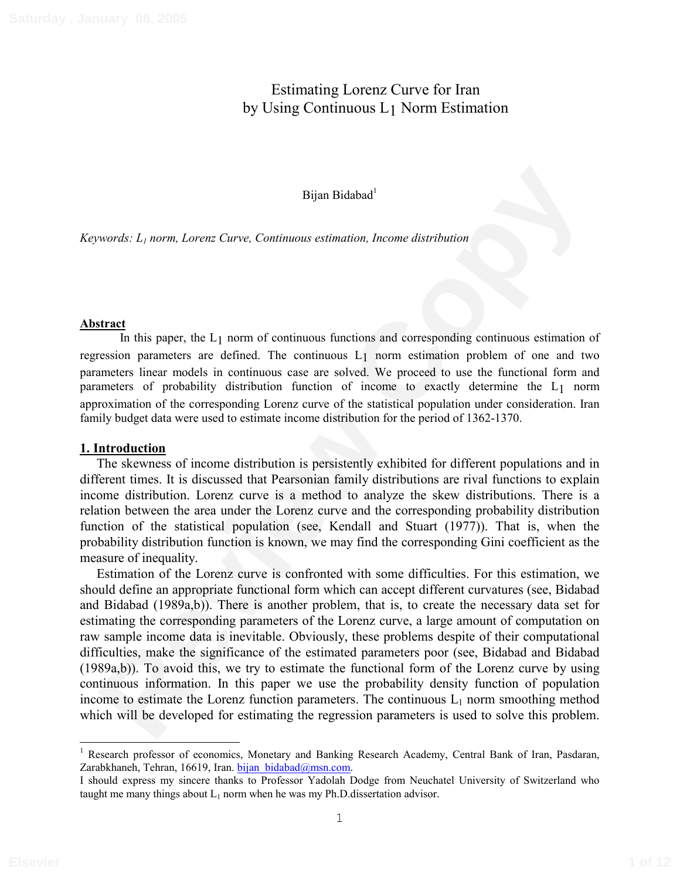# Estimating Lorenz Curve for Iran by Using Continuous L1 Norm Estimation

### Bijan Bidabad<sup>1</sup>

*Keywords: L1 norm, Lorenz Curve, Continuous estimation, Income distribution* 

#### **Abstract**

In this paper, the L<sub>1</sub> norm of continuous functions and corresponding continuous estimation of regression parameters are defined. The continuous L1 norm estimation problem of one and two parameters linear models in continuous case are solved. We proceed to use the functional form and parameters of probability distribution function of income to exactly determine the L1 norm approximation of the corresponding Lorenz curve of the statistical population under consideration. Iran family budget data were used to estimate income distribution for the period of 1362-1370.

#### **1. Introduction**

The skewness of income distribution is persistently exhibited for different populations and in different times. It is discussed that Pearsonian family distributions are rival functions to explain income distribution. Lorenz curve is a method to analyze the skew distributions. There is a relation between the area under the Lorenz curve and the corresponding probability distribution function of the statistical population (see, Kendall and Stuart (1977)). That is, when the probability distribution function is known, we may find the corresponding Gini coefficient as the measure of inequality.

Bijan Bidabad<sup>1</sup><br>
Bijan Bidabad<sup>1</sup><br>
Review Continuous estimation, Income distribution<br>
In his paper, the I<sub>-1</sub> norm of continuous functions and corresponding continuous estimation of<br>
In his paper, the I<sub>-1</sub> norm of contin Estimation of the Lorenz curve is confronted with some difficulties. For this estimation, we should define an appropriate functional form which can accept different curvatures (see, Bidabad and Bidabad (1989a,b)). There is another problem, that is, to create the necessary data set for estimating the corresponding parameters of the Lorenz curve, a large amount of computation on raw sample income data is inevitable. Obviously, these problems despite of their computational difficulties, make the significance of the estimated parameters poor (see, Bidabad and Bidabad (1989a,b)). To avoid this, we try to estimate the functional form of the Lorenz curve by using continuous information. In this paper we use the probability density function of population income to estimate the Lorenz function parameters. The continuous  $L_1$  norm smoothing method which will be developed for estimating the regression parameters is used to solve this problem.

<sup>&</sup>lt;sup>1</sup> Research professor of economics, Monetary and Banking Research Academy, Central Bank of Iran, Pasdaran, Zarabkhaneh, Tehran, 16619, Iran. bijan bidabad@msn.com.

I should express my sincere thanks to Professor Yadolah Dodge from Neuchatel University of Switzerland who taught me many things about  $L_1$  norm when he was my Ph.D. dissertation advisor.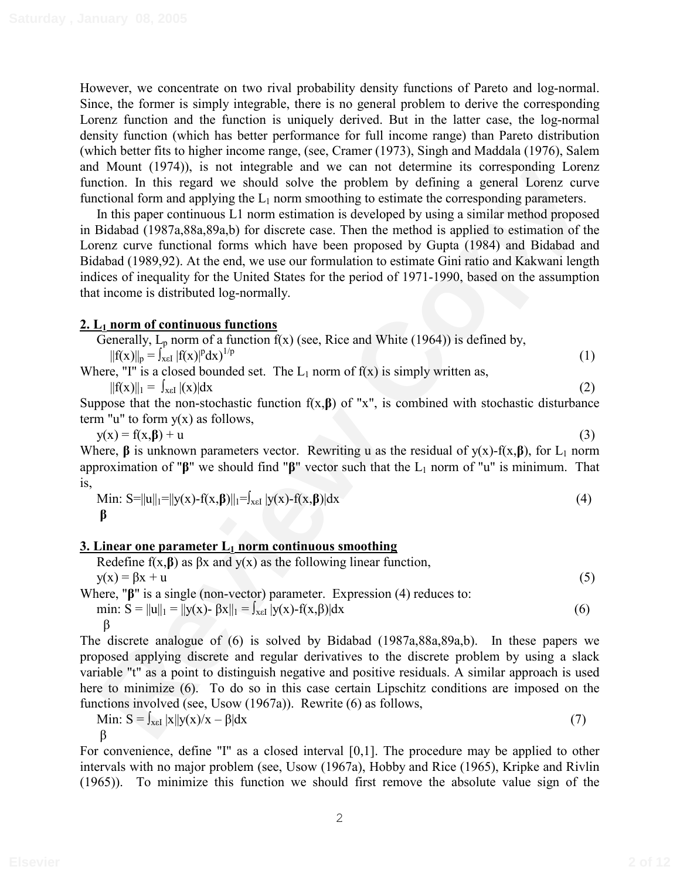However, we concentrate on two rival probability density functions of Pareto and log-normal. Since, the former is simply integrable, there is no general problem to derive the corresponding Lorenz function and the function is uniquely derived. But in the latter case, the log-normal density function (which has better performance for full income range) than Pareto distribution (which better fits to higher income range, (see, Cramer (1973), Singh and Maddala (1976), Salem and Mount (1974)), is not integrable and we can not determine its corresponding Lorenz function. In this regard we should solve the problem by defining a general Lorenz curve functional form and applying the  $L_1$  norm smoothing to estimate the corresponding parameters.

Noting (1974)), is not integrante and we can not determine its corresponding 1 of Pay<br>
In this regard we should solve the problem by defining a general Lorent<br>
Incidentification In this regard we should solve the problem In this paper continuous L1 norm estimation is developed by using a similar method proposed in Bidabad (1987a,88a,89a,b) for discrete case. Then the method is applied to estimation of the Lorenz curve functional forms which have been proposed by Gupta (1984) and Bidabad and Bidabad (1989,92). At the end, we use our formulation to estimate Gini ratio and Kakwani length indices of inequality for the United States for the period of 1971-1990, based on the assumption that income is distributed log-normally.

# **2. L1 norm of continuous functions**

| Generally, $L_p$ norm of a function $f(x)$ (see, Rice and White (1964)) is defined by, |  |
|----------------------------------------------------------------------------------------|--|
| $  f(x)  _p = \int_{x \in I}  f(x) ^p dx$ <sup>1/p</sup>                               |  |

Where, "I" is a closed bounded set. The  $L_1$  norm of  $f(x)$  is simply written as,

 $||f(x)||_1 = \int_{x \in I} |(x)| dx$  (2)

Suppose that the non-stochastic function  $f(x,\beta)$  of "x", is combined with stochastic disturbance term "u" to form  $y(x)$  as follows,

 $y(x) = f(x, \beta) + u$  (3) Where,  $\beta$  is unknown parameters vector. Rewriting u as the residual of  $y(x)$ -f(x, $\beta$ ), for L<sub>1</sub> norm approximation of " $\beta$ " we should find " $\beta$ " vector such that the L<sub>1</sub> norm of "u" is minimum. That is,

Min: S=||u||<sub>1</sub>=||y(x)-f(x,\beta)||<sub>1</sub>=
$$
\int_{x\in I} |y(x)-f(x,\beta)|dx
$$
 (4)  
 $\beta$ 

# **3. Linear one parameter L1 norm continuous smoothing**

Redefine f(x,β) as βx and y(x) as the following linear function,

\n
$$
y(x) = \beta x + u
$$
\nWhere, "β" is a single (non-vector) parameter. Expression (4) reduces to:

\nmin: S = ||u||<sub>1</sub> = ||y(x) - βx||<sub>1</sub> = ∫<sub>xε1</sub> |y(x) - f(x,β)|dx

\n(6)

The discrete analogue of (6) is solved by Bidabad (1987a,88a,89a,b). In these papers we proposed applying discrete and regular derivatives to the discrete problem by using a slack variable "t" as a point to distinguish negative and positive residuals. A similar approach is used here to minimize (6). To do so in this case certain Lipschitz conditions are imposed on the functions involved (see, Usow (1967a)). Rewrite (6) as follows,

$$
\text{Min: } S = \int_{x \in I} |x| |y(x)/x - \beta| dx \tag{7}
$$

 $\beta$ 

For convenience, define "I" as a closed interval [0,1]. The procedure may be applied to other intervals with no major problem (see, Usow (1967a), Hobby and Rice (1965), Kripke and Rivlin (1965)). To minimize this function we should first remove the absolute value sign of the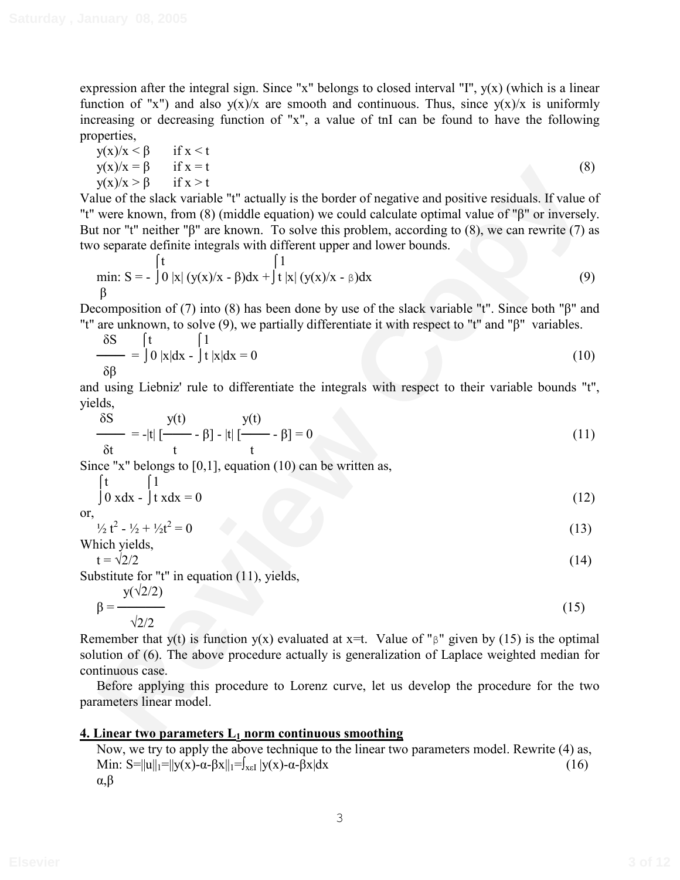expression after the integral sign. Since "x" belongs to closed interval "I",  $y(x)$  (which is a linear function of "x") and also  $y(x)/x$  are smooth and continuous. Thus, since  $y(x)/x$  is uniformly increasing or decreasing function of "x", a value of tnI can be found to have the following properties,

$$
y(x)/x < \beta \quad \text{if } x < t
$$
  
\n
$$
y(x)/x = \beta \quad \text{if } x = t
$$
  
\n
$$
y(x)/x > \beta \quad \text{if } x > t
$$
\n(8)

**EVANTALLART TEXT**<br>
How the slack variable <sup>e</sup><sup>1</sup> actually is the border of negative and positive residuals. If value of the slack variable equation) we could calculate optimal value of "β<sup>2</sup> or inversely.<br>
were known, fr Value of the slack variable "t" actually is the border of negative and positive residuals. If value of "t" were known, from  $(8)$  (middle equation) we could calculate optimal value of " $\beta$ " or inversely. But nor "t" neither " $\beta$ " are known. To solve this problem, according to (8), we can rewrite (7) as two separate definite integrals with different upper and lower bounds.

min: S = 
$$
\int_{0}^{t} |x| (y(x)/x - \beta) dx + \int_{0}^{1} |x| (y(x)/x - \beta) dx
$$
 (9)

Decomposition of (7) into (8) has been done by use of the slack variable "t". Since both " $\beta$ " and "t" are unknown, to solve  $(9)$ , we partially differentiate it with respect to "t" and " $\beta$ " variables.

$$
\frac{\delta S}{\delta \beta} = \int_0^t 0 |x| dx - \int_0^t |x| dx = 0
$$
 (10)

and using Liebniz' rule to differentiate the integrals with respect to their variable bounds "t", yields,

$$
\frac{\delta S}{\delta t} = -|t| \left[ \frac{y(t)}{t} - \beta \right] - |t| \left[ \frac{y(t)}{t} - \beta \right] = 0 \tag{11}
$$

Since "x" belongs to [0,1], equation (10) can be written as,

$$
\int_0^t \int_0^t \frac{1}{x dx} = 0
$$
 (12)

or,

$$
\frac{1}{2}t^2 - \frac{1}{2} + \frac{1}{2}t^2 = 0 \tag{13}
$$

Which yields,

$$
t = \sqrt{2}/2 \tag{14}
$$

Substitute for "t" in equation (11), yields,

$$
\beta = \frac{y(\sqrt{2}/2)}{\sqrt{2}/2} \tag{15}
$$

Remember that y(t) is function y(x) evaluated at x=t. Value of " $\beta$ " given by (15) is the optimal solution of (6). The above procedure actually is generalization of Laplace weighted median for continuous case.

Before applying this procedure to Lorenz curve, let us develop the procedure for the two parameters linear model.

# **4. Linear two parameters L<sub>1</sub> norm continuous smoothing**

Now, we try to apply the above technique to the linear two parameters model. Rewrite (4) as, Min:  $S=||u||_1=||y(x)-\alpha-\beta x||_1=|\int_{x\in I} |y(x)-\alpha-\beta x|dx$  (16)  $\alpha,\beta$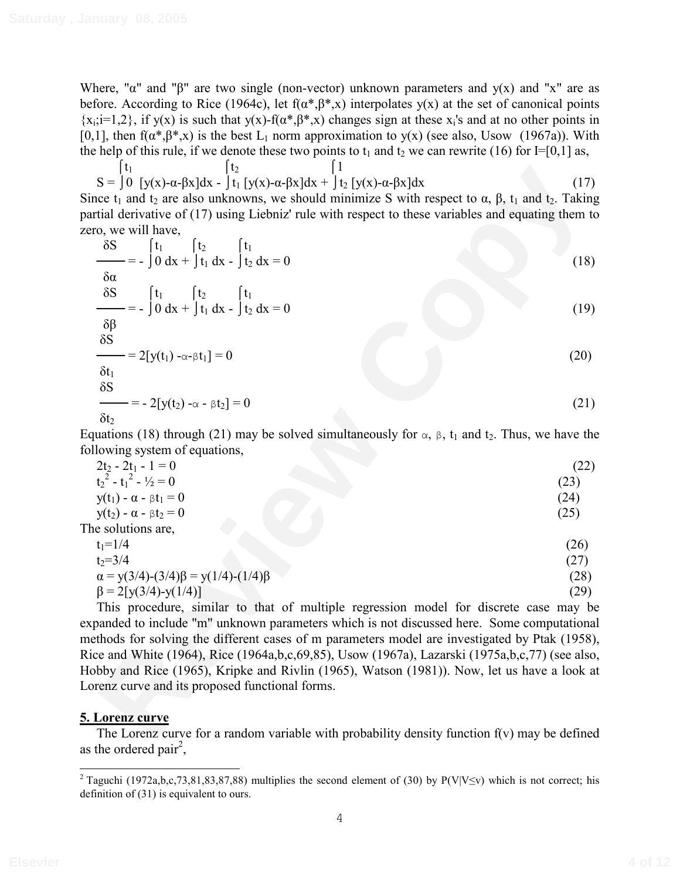Where, " $\alpha$ " and " $\beta$ " are two single (non-vector) unknown parameters and  $y(x)$  and "x" are as before. According to Rice (1964c), let  $f(\alpha^*,\beta^*,x)$  interpolates  $y(x)$  at the set of canonical points  $\{x_i; i=1,2\}$ , if  $y(x)$  is such that  $y(x)$ -f( $\alpha^*, \beta^*, x$ ) changes sign at these  $x_i$ 's and at no other points in [0,1], then  $f(\alpha^*,\beta^*,x)$  is the best L<sub>1</sub> norm approximation to y(x) (see also, Usow (1967a)). With the help of this rule, if we denote these two points to  $t_1$  and  $t_2$  we can rewrite (16) for I=[0,1] as,

 $\begin{bmatrix} t_1 \\ t_2 \end{bmatrix}$   $\begin{bmatrix} 1 \\ 1 \end{bmatrix}$  $S = \int 0 \int y(x) - \alpha - \beta x \, dx - \int t_1 \int y(x) - \alpha - \beta x \, dx + \int t_2 \int y(x) - \alpha - \beta x \, dx$  (17) Since  $t_1$  and  $t_2$  are also unknowns, we should minimize S with respect to  $\alpha$ ,  $\beta$ ,  $t_1$  and  $t_2$ . Taking partial derivative of (17) using Liebniz' rule with respect to these variables and equating them to zero, we will have,

S = 
$$
\int_0^1 [t_0(x) - a - \beta x] dx
$$
 +  $\int_1^1 [y(x) - a - \beta x] dx$  +  $\int_2^1 [y(x) - a - \beta x] dx$  +  $\int_3^1 [y(x) - a - \beta x] dx$  +  $\int_4^1 [y(x) - a - \beta x] dx$  +  $\int_5^1 [y(x) - a - \beta x] dx$  +  $\int_6^1 [t_0 - \beta x] dx$  +  $\int_7^1 [t_0 - \beta x] dx$  +  $\int_7^1 [t_0 - \beta x] dx$  +  $\int_7^1 [t_0 - \beta x] dx$  +  $\int_7^1 [t_0 - \beta x] dx$  +  $\int_7^1 [t_0 - \beta x] dx$  +  $\int_7^1 [t_0 - \beta x] dx$  +  $\int_7^1 [t_0 - \beta x] dx$  +  $\int_7^1 [t_0 - \beta x] dx$  +  $\int_7^1 [t_0 - \beta x] dx$  +  $\int_7^1 [t_0 - \beta x] dx$  +  $\int_7^1 [t_0 - \beta x] dx$  +  $\int_7^1 [t_0 - \beta x] dx$  +  $\int_7^1 [t_0 - \beta x] dx$  +  $\int_7^1 [t_0 - \beta x] dx$  +  $\int_7^1 [t_0 - \beta x] dx$  +  $\int_7^1 [t_0 - \beta x] dx$  +  $\int_7^1 [t_0 - \beta x] dx$  +  $\int_7^1 [t_0 - \beta x] dx$  +  $\int_7^1 [t_0 - \beta x] dx$  +  $\int_7^1 [t_0 - \beta x] dx$  +  $\int_7^1 [t_0 - \beta x] dx$  +  $\int_7^1 [t_0 - \beta x] dx$  +  $\int_7^1 [t_0 - \beta x] dx$  +  $\int_7^1 [t_0 - \beta x] dx$  +  $\int_7^1 [t_0 - \beta x] dx$  +  $\int_7^1 [t_0 - \beta x] dx$  +  $\int_7^1 [t_0 - \beta x] dx$ 

$$
\delta t_2
$$

Equations (18) through (21) may be solved simultaneously for  $\alpha$ ,  $\beta$ ,  $t_1$  and  $t_2$ . Thus, we have the following system of equations,

| $2t_2 - 2t_1 - 1 = 0$                            | (22) |
|--------------------------------------------------|------|
| $t22 - t12 - \frac{1}{2} = 0$                    | (23) |
| $y(t_1) - \alpha - \beta t_1 = 0$                | (24) |
| $y(t_2) - \alpha - \beta t_2 = 0$                | (25) |
| The solutions are,                               |      |
| $t_1 = 1/4$                                      | (26) |
| $t_2 = 3/4$                                      | (27) |
| $\alpha = y(3/4)-(3/4)\beta = y(1/4)-(1/4)\beta$ | (28) |
| $\beta = 2[y(3/4)-y(1/4)]$                       | (29) |

This procedure, similar to that of multiple regression model for discrete case may be expanded to include "m" unknown parameters which is not discussed here. Some computational methods for solving the different cases of m parameters model are investigated by Ptak (1958), Rice and White (1964), Rice (1964a,b,c,69,85), Usow (1967a), Lazarski (1975a,b,c,77) (see also, Hobby and Rice (1965), Kripke and Rivlin (1965), Watson (1981)). Now, let us have a look at Lorenz curve and its proposed functional forms.

# **5. Lorenz curve**

The Lorenz curve for a random variable with probability density function  $f(v)$  may be defined as the ordered pair<sup>2</sup>,

<sup>&</sup>lt;sup>2</sup> Taguchi (1972a,b,c,73,81,83,87,88) multiplies the second element of (30) by P(V|V $\leq$ v) which is not correct; his definition of (31) is equivalent to ours.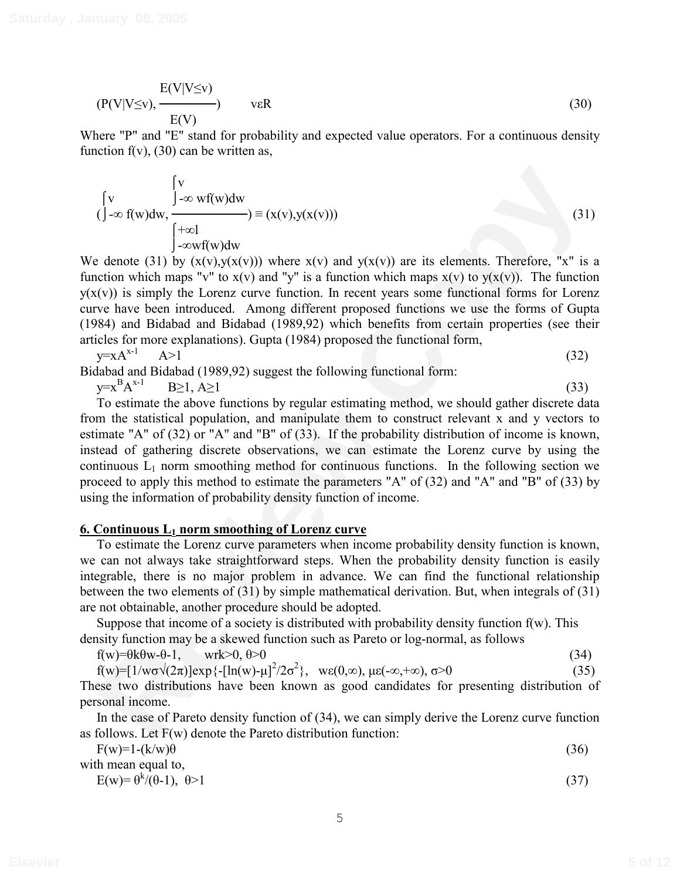$$
(\mathbf{P}(\mathbf{V}|\mathbf{V}\leq \mathbf{v}), \frac{\mathbf{E}(\mathbf{V}|\mathbf{V}\leq \mathbf{v})}{\mathbf{E}(\mathbf{V})}) \qquad \text{veR}
$$
 (30)

Where "P" and "E" stand for probability and expected value operators. For a continuous density function  $f(v)$ , (30) can be written as,

$$
\begin{cases}\n\mathbf{v} & \int_{-\infty}^{\mathbf{v}} \mathbf{v} \mathbf{f}(\mathbf{w}) d\mathbf{w} \\
(\int_{-\infty}^{\infty} \mathbf{f}(\mathbf{w}) d\mathbf{w}, \quad \int_{-\infty}^{\mathbf{v}} \mathbf{v} \mathbf{f}(\mathbf{w}) d\mathbf{w}\n\end{cases} = (\mathbf{x}(\mathbf{v}), \mathbf{y}(\mathbf{x}(\mathbf{v})))
$$
\n(31)

We denote (31) by  $(x(v),y(x(v)))$  where  $x(v)$  and  $y(x(v))$  are its elements. Therefore, "x" is a function which maps "v" to  $x(v)$  and "y" is a function which maps  $x(v)$  to  $y(x(v))$ . The function  $y(x(y))$  is simply the Lorenz curve function. In recent years some functional forms for Lorenz curve have been introduced. Among different proposed functions we use the forms of Gupta (1984) and Bidabad and Bidabad (1989,92) which benefits from certain properties (see their articles for more explanations). Gupta (1984) proposed the functional form,

$$
y = xA^{x-1} \qquad A > 1 \tag{32}
$$

Bidabad and Bidabad (1989,92) suggest the following functional form:

y=x B  $A^{x-1}$  B  $\geq 1, A \geq 1$  (33)

 $\begin{pmatrix} y \\ y \\ z \end{pmatrix}$ <br>  $\begin{pmatrix} y \\ y \\ z \end{pmatrix}$  ( $\begin{pmatrix} y \\ -xy \end{pmatrix}$  ( $\begin{pmatrix} x \\ y \\ y \end{pmatrix}$  ( $\begin{pmatrix} -xy \end{pmatrix}$  ( $\begin{pmatrix} 2y \end{pmatrix}$  ( $\begin{pmatrix} -xy \end{pmatrix}$  ( $\begin{pmatrix} 2y \end{pmatrix}$  ( $\begin{pmatrix} 2y \end{pmatrix}$  ( $\begin{pmatrix} 2y \end{pmatrix}$  ( $\begin{pmatrix} 2y \end{pmatrix}$  ( $\begin{pmatrix}$ To estimate the above functions by regular estimating method, we should gather discrete data from the statistical population, and manipulate them to construct relevant x and y vectors to estimate "A" of (32) or "A" and "B" of (33). If the probability distribution of income is known, instead of gathering discrete observations, we can estimate the Lorenz curve by using the continuous  $L_1$  norm smoothing method for continuous functions. In the following section we proceed to apply this method to estimate the parameters "A" of (32) and "A" and "B" of (33) by using the information of probability density function of income.

# **6. Continuous L1 norm smoothing of Lorenz curve**

To estimate the Lorenz curve parameters when income probability density function is known, we can not always take straightforward steps. When the probability density function is easily integrable, there is no major problem in advance. We can find the functional relationship between the two elements of (31) by simple mathematical derivation. But, when integrals of (31) are not obtainable, another procedure should be adopted.

Suppose that income of a society is distributed with probability density function  $f(w)$ . This density function may be a skewed function such as Pareto or log-normal, as follows

 $f(w)=\theta k\theta w-\theta-1$ , wrk $>0, \theta>0$  (34)

 $f(w) = [1/w\sigma\sqrt{(2\pi)}]exp{-[ln(w) - \mu]^2/2\sigma^2}, \quad \text{we}(0, \infty), \mu\epsilon(-\infty, +\infty), \sigma > 0$  (35) These two distributions have been known as good candidates for presenting distribution of personal income.

In the case of Pareto density function of (34), we can simply derive the Lorenz curve function as follows. Let  $F(w)$  denote the Pareto distribution function:

| $F(w)=1-(k/w)\theta$                                                                                                                                                                                                                                                                                                                                                                                                           | (36)  |
|--------------------------------------------------------------------------------------------------------------------------------------------------------------------------------------------------------------------------------------------------------------------------------------------------------------------------------------------------------------------------------------------------------------------------------|-------|
| with mean equal to,                                                                                                                                                                                                                                                                                                                                                                                                            |       |
| $\Gamma$ $\left(\begin{array}{cc} \sqrt{N} & \sqrt{N} & \sqrt{N} & \sqrt{N} & \sqrt{N} & \sqrt{N} & \sqrt{N} & \sqrt{N} & \sqrt{N} & \sqrt{N} & \sqrt{N} & \sqrt{N} & \sqrt{N} & \sqrt{N} & \sqrt{N} & \sqrt{N} & \sqrt{N} & \sqrt{N} & \sqrt{N} & \sqrt{N} & \sqrt{N} & \sqrt{N} & \sqrt{N} & \sqrt{N} & \sqrt{N} & \sqrt{N} & \sqrt{N} & \sqrt{N} & \sqrt{N} & \sqrt{N} & \sqrt{N} & \sqrt{N} & \sqrt{N} & \sqrt{N} & \sqrt$ | (2.7) |

$$
E(w) = \theta^k / (\theta - 1), \quad \theta > 1 \tag{37}
$$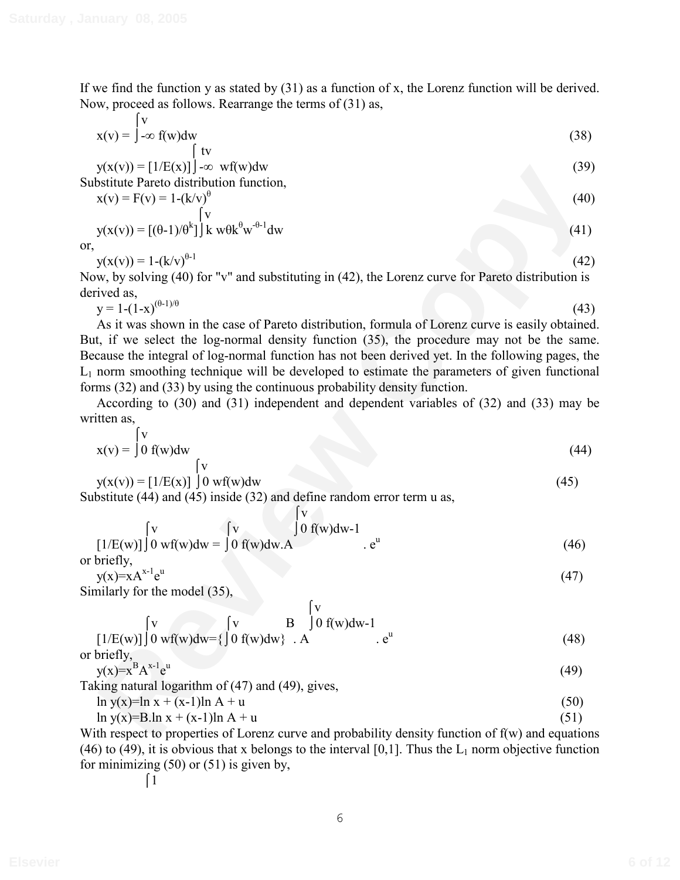If we find the function y as stated by  $(31)$  as a function of x, the Lorenz function will be derived. Now, proceed as follows. Rearrange the terms of (31) as,

$$
x(v) = \int_{-\infty}^{v} f(w)dw
$$
  
\n
$$
y(x(v)) = [1/E(x)]\int_{-\infty}^{v} wf(w)dw
$$
\n(39)

Substitute Pareto distribution function,

$$
x(v) = F(v) = 1-(k/v)^{\theta}
$$
  
\n
$$
y(x(v)) = [(0-1)/\theta^{k}] \, k \, w\theta k^{\theta} w^{-\theta-1} dw
$$
\n(41)

or,

$$
y(x(v)) = 1 - (k/v)^{\theta - 1}
$$
 (42)

Now, by solving (40) for "v" and substituting in (42), the Lorenz curve for Pareto distribution is derived as,

$$
y = 1 - (1 - x)^{(\theta - 1)/\theta} \tag{43}
$$

**EV**(y) = [*V*<sub>(19</sub>xy)]  $\sim$  witwow<br> **Review Constrained Partic Oistribution function,<br>**  $x(x) = F(x) = 1/(4x^2)^{1/2}$ **<br>**  $x(x) = F(x) = 1/(4x^2)^{1/4}$ **<br>**  $\frac{F(x)}{x} = 1/(4x^2)^{1/4}$ **<br>**  $\frac{F(x)}{x} = 1/(4x^2)^{1/4}$ **<br>**  $\frac{F(x)}{x} = 1/(4x^2)^{1/4}$ **<br>
<b>** As it was shown in the case of Pareto distribution, formula of Lorenz curve is easily obtained. But, if we select the log-normal density function (35), the procedure may not be the same. Because the integral of log-normal function has not been derived yet. In the following pages, the  $L_1$  norm smoothing technique will be developed to estimate the parameters of given functional forms (32) and (33) by using the continuous probability density function.

According to (30) and (31) independent and dependent variables of (32) and (33) may be written as,

$$
x(v) = \begin{cases} v \\ 0 \text{ f}(w) \text{d}w \end{cases}
$$
 (44)

$$
y(x(v)) = [1/E(x)] \int 0 w f(w) dw
$$
\n
$$
y(x(v)) = [1/E(x)] \int 0 w f(w) dw
$$
\n(45)

Substitute (44) and (45) inside (32) and define random error term u as,

 $\mathbf{r}$ 

$$
\begin{bmatrix} v \\ [1/E(w)] \end{bmatrix} \begin{bmatrix} v \\ 0 \text{ w} \end{bmatrix} \begin{bmatrix} v \\ 0 \text{ f}(w) \text{d}w - 1 \\ 0 \text{ f}(w) \text{d}w \end{bmatrix} \begin{bmatrix} 0 \\ e^u \end{bmatrix} \begin{bmatrix} e^u \\ e^u \end{bmatrix}
$$
 (46)

or briefly,  

$$
y(x)=xA^{x-1}e^u
$$
 (47)

Similarly for the model (35),

$$
\begin{array}{l}\n\begin{bmatrix}\nv \\
[1/E(w)]\n\end{bmatrix} 0 \text{ wf}(w)dw = \left\{\begin{bmatrix}\nv & B \\
0 & f(w)dw\end{bmatrix} A\right. e^u\n\end{array} \tag{48}
$$
\n
$$
\begin{array}{l}\n\text{ar braid } v\n\end{array}
$$

or briefly,  $y(x)=x^{B}A^{x-1}e$ u  $(49)$ 

Taking natural logarithm of (47) and (49), gives,

$$
\ln y(x) = \ln x + (x-1)\ln A + u \tag{50}
$$

$$
\ln y(x)=B \ln x + (x-1)\ln A + u \tag{51}
$$

With respect to properties of Lorenz curve and probability density function of  $f(w)$  and equations (46) to (49), it is obvious that x belongs to the interval [0,1]. Thus the  $L_1$  norm objective function for minimizing  $(50)$  or  $(51)$  is given by,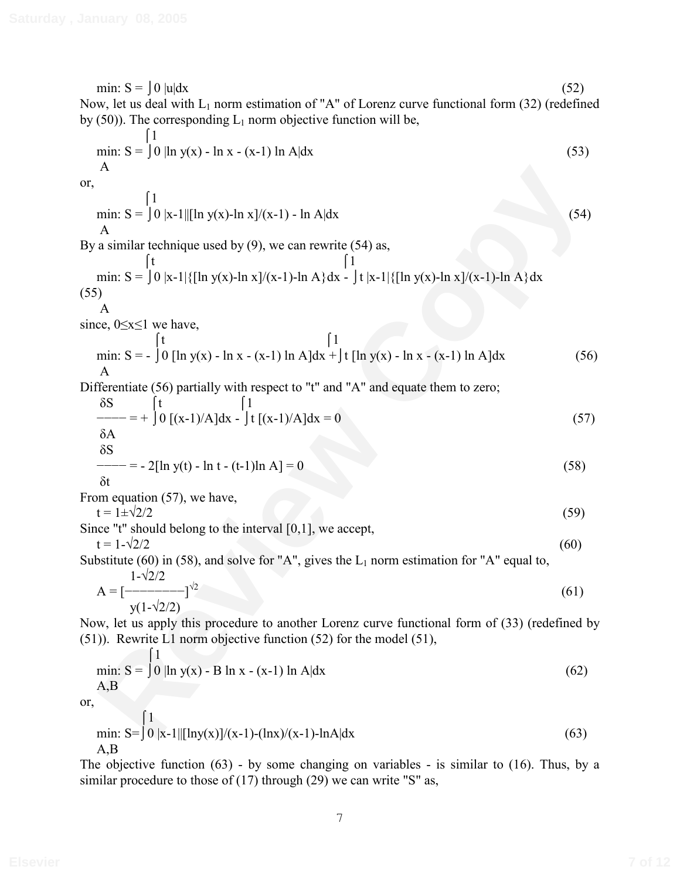A<br>
min:  $S = \int 0$  |s-1 ||[ln y(x)-ln x]/(x-1) - ln Adx<br>
(54)<br>
a similar technique used by (9), we can rewrite (54) as,<br>
min:  $S = \int 0$  |x-1 |{[ln y(x)-ln x]/(x-1)-ln A}dx  $\frac{1}{2}$  |t |x-1|{[ln y(x)-ln x]/(x-1)-ln A}dx<br>
(a) min:  $S = \begin{bmatrix} 0 \\ u \end{bmatrix}$   $dx$  (52) Now, let us deal with  $L_1$  norm estimation of "A" of Lorenz curve functional form (32) (redefined by  $(50)$ ). The corresponding  $L_1$  norm objective function will be,  $\vert$  1 min:  $S = \int 0 |\ln y(x) - \ln x - (x-1) \ln A| dx$  (53) A or,  $\lceil 1 \rceil$ min:  $S = \int 0 |x-1||[\ln y(x)] - \ln x]/(x-1) - \ln A|dx$  (54) A By a similar technique used by  $(9)$ , we can rewrite  $(54)$  as,  $\begin{bmatrix} t & \end{bmatrix}$  [1 min: S =  $\int 0$  |x-1|{[ln y(x)-ln x]/(x-1)-ln A}dx -  $\int t |x-1|$ {[ln y(x)-ln x]/(x-1)-ln A}dx (55) A since,  $0 \le x \le 1$  we have,  $\begin{bmatrix} t & \end{bmatrix}$  [1 min: S = -  $\int 0$  [ln y(x) - ln x - (x-1) ln A]dx +  $\int$  [ln y(x) - ln x - (x-1) ln A]dx (56) A Differentiate (56) partially with respect to "t" and "A" and equate them to zero;  $\delta S$   $\qquad$   $\qquad$   $\qquad$   $\qquad$   $\qquad$   $\qquad$   $\qquad$   $\qquad$   $\qquad$   $\qquad$   $\qquad$   $\qquad$   $\qquad$   $\qquad$   $\qquad$   $\qquad$   $\qquad$   $\qquad$   $\qquad$   $\qquad$   $\qquad$   $\qquad$   $\qquad$   $\qquad$   $\qquad$   $\qquad$   $\qquad$   $\qquad$   $\qquad$   $\qquad$   $\qquad$   $\qquad$   $\qquad$   $\qquad$   $\qquad$   $\qquad$  $\begin{equation} \begin{aligned} - \rightarrow = + \int 0 \left[ (x-1)/A \right] dx - \int t \left[ (x-1)/A \right] dx = 0 \end{aligned} \end{equation}$  $\delta A$  $\delta S$  $f = -2[\ln y(t) - \ln t - (t-1)\ln A] = 0$  (58) δt From equation (57), we have,  $t = 1 \pm \sqrt{2}/2$  (59) Since "t" should belong to the interval [0,1], we accept,  $t = 1 - \sqrt{2}/2$  (60) Substitute (60) in (58), and solve for "A", gives the  $L_1$  norm estimation for "A" equal to,  $1 - \sqrt{2}/2$  $A = [-----]^{1/2}$  $\sqrt{2}$  (61)  $y(1-\sqrt{2}/2)$ Now, let us apply this procedure to another Lorenz curve functional form of (33) (redefined by (51)). Rewrite L1 norm objective function (52) for the model (51),  $\overline{1}$ min:  $S = \int 0 |\ln y(x) - B \ln x - (x-1) \ln A| dx$  (62) A,B or,  $\lceil 1 \rceil$ min:  $S = \int 0 |x-1| |[lny(x)]/(x-1)-(lnx)/(x-1)-lnA|dx$  (63) A,B The objective function (63) - by some changing on variables - is similar to (16). Thus, by a similar procedure to those of (17) through (29) we can write "S" as,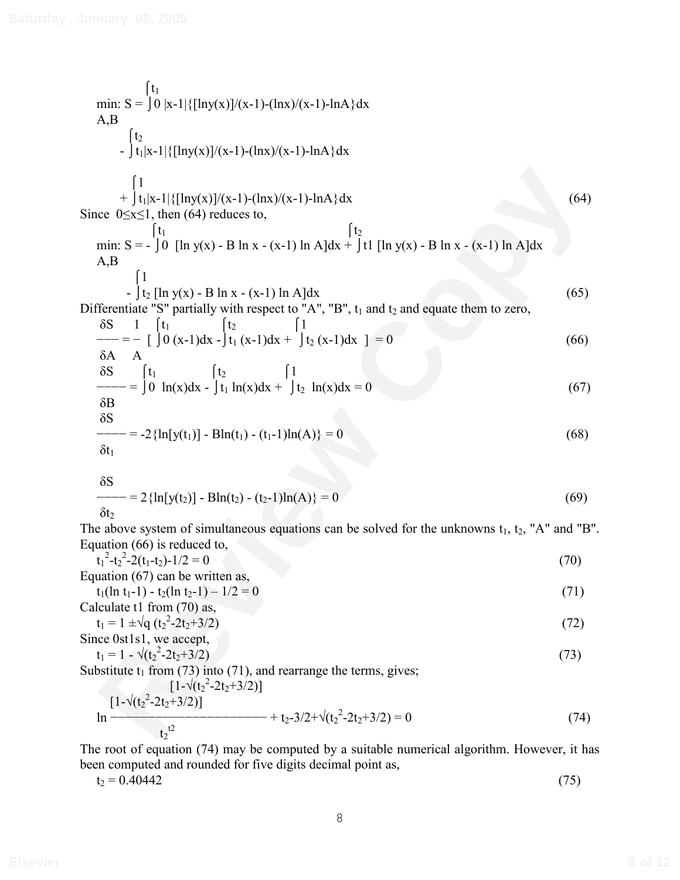min: S = 
$$
\int 0 |x-1| \{lny(x)\}/(x-1) - (lnx)/(x-1) - lnA \} dx
$$
  
\nA,B  
\n $\int \frac{t_2}{t_1|x-1| \{lny(x)\}/(x-1) - (lnx)/(x-1) - lnA \} dx$   
\n $\int \frac{1}{t_1|x-1| \{lny(x)\}/(x-1) - (lnx)/(x-1) - lnA \} dx$   
\nSince  $0 \le x \le 1$ , then (64) reduces to,  
\nmin: S =  $\int 0$  [ln y(x) - B ln x - (x-1) ln A]dx +  $\int t$  [ln y(x) - B ln x - (x-1) ln A]dx  
\nA,B  
\nDifferentiate "S" partially with respect to "A", "B", t<sub>1</sub> and t<sub>2</sub> and equate them to zero,  
\n $\frac{8S}{s-1} = \int t_1$   
\n $\frac{1}{\omega - 1} \int 0 (x-1) dx - \int t_1 (x-1) dx + \int t_2 (x-1) dx = 0$  (66)  
\n $\frac{8S}{s+1} = -2 \{ln[y(t_1)] - Bh(t_1) - (t_1-1)ln(A)\} = 0$  (68)  
\n $\frac{8S}{s+1} = -2 \{ln[y(t_1)] - Bh(t_1) - (t_1-1)ln(A)\} = 0$  (68)  
\n $\frac{8S}{s+1} = 2 \{ln[y(t_2)] - Bh(t_2) - (t_2-1)ln(A)\} = 0$  (69)  
\n $\frac{8S}{s+1} = 2 \{ln[y(t_2)] - Bh(t_2) - (t_2-1)ln(A)\} = 0$  (69)  
\n $\frac{8S}{s+1} = 2 \{ln[y(t_2)] - Bh(t_2) - (t_2-1)ln(A)\} = 0$  (69)  
\n $\frac{8S}{s+1} = 2 \{ln[y(t_2)] - ln(2) = 0$  (69)  
\n $\frac{8S}{s+1} = 2 \{ln[y(t_2)] - ln(2) = 0$  (69)  
\n $\frac{8S}{s+1} = 2 \{ln[y(t_2)] - ln(2) = 0$  (71)

The above system of simultaneous equations can be solved for the unknowns  $t_1$ ,  $t_2$ , "A" and "B". Equation (66) is reduced to,

$$
t_1^2 - t_2^2 - 2(t_1 - t_2) - 1/2 = 0
$$
  
Equation (67) can be written as, (70)

$$
t_1(\ln t_1 - 1) - t_2(\ln t_2 - 1) - 1/2 = 0
$$
\nCalculate 11 from (70) so

Calculate t1 from (70) as,  
\n
$$
t_1 = 1 \pm \sqrt{q} (t_2^2 - 2t_2 + 3/2)
$$
\nSince 0st1s1 we accept

$$
t_1 = 1 - \sqrt{(t_2^2 - 2t_2 + 3/2)}
$$
 (73)

Substitute  $t_1$  from (73) into (71), and rearrange the terms, gives;

$$
\left[1-\sqrt{(t_2^2-2t_2+3/2)}\right]
$$
  
\n
$$
\ln \frac{[1-\sqrt{(t_2^2-2t_2+3/2)}]}{t_2^{t_2}} + t_2-3/2+\sqrt{(t_2^2-2t_2+3/2)} = 0
$$
\n(74)

The root of equation (74) may be computed by a suitable numerical algorithm. However, it has been computed and rounded for five digits decimal point as,

$$
t_2 = 0.40442 \tag{75}
$$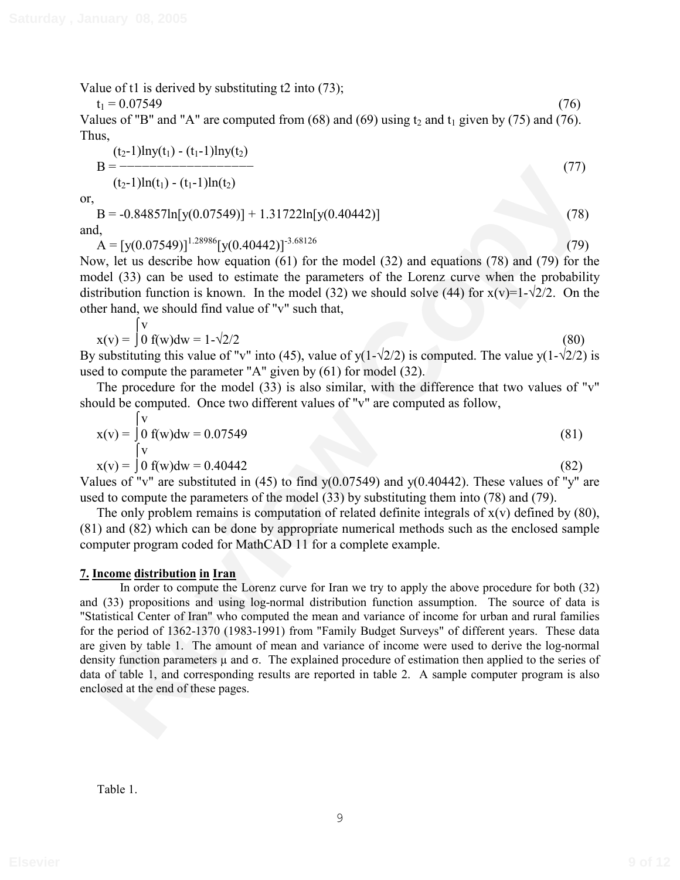Value of t1 is derived by substituting t2 into (73);

$$
t_1 = 0.07549 \tag{76}
$$

Values of "B" and "A" are computed from  $(68)$  and  $(69)$  using t<sub>2</sub> and t<sub>1</sub> given by (75) and (76). Thus,

$$
B = \frac{(t_2-1)\ln y(t_1) - (t_1-1)\ln y(t_2)}{(t_2-1)\ln(t_1) - (t_1-1)\ln(t_2)}
$$
(77)

or,

 $B = -0.84857\ln[y(0.07549)] + 1.31722\ln[y(0.40442)]$  (78) and,  $A = [y(0.07549)]^{1.28986} [y(0.40442)]^{3.68126}$  (79)

Now, let us describe how equation (61) for the model (32) and equations (78) and (79) for the model (33) can be used to estimate the parameters of the Lorenz curve when the probability distribution function is known. In the model (32) we should solve (44) for  $x(v)=1-\sqrt{2}/2$ . On the other hand, we should find value of "v" such that,

$$
x(v) = \int_0^V 0 f(w) dw = 1 - \sqrt{2}/2
$$
\n(80)

By substituting this value of "v" into (45), value of  $y(1-\sqrt{2}/2)$  is computed. The value  $y(1-\sqrt{2}/2)$  is used to compute the parameter "A" given by (61) for model (32).

The procedure for the model (33) is also similar, with the difference that two values of "v" should be computed. Once two different values of "v" are computed as follow,

$$
x(v) = \begin{cases} v \\ 0 \\ v \end{cases} f(w) dw = 0.07549
$$
 (81)

$$
x(v) = \int 0 f(w) dw = 0.40442
$$
\n(82)

Values of "v" are substituted in (45) to find  $y(0.07549)$  and  $y(0.40442)$ . These values of "y" are used to compute the parameters of the model (33) by substituting them into (78) and (79).

The only problem remains is computation of related definite integrals of  $x(v)$  defined by (80), (81) and (82) which can be done by appropriate numerical methods such as the enclosed sample computer program coded for MathCAD 11 for a complete example.

### **7. Income distribution in Iran**

**REVALUATE:** (1)<br> **REVALUATE:** (1)<br> **REVALUATE:** (1)<br> **REVALUATE:** (1)<br> **REVALUATE:** (1)<br> **REVALUATE:** (1)<br> **REVIEW (1)**  $\frac{1}{2}$  (1)<br>  $\frac{1}{2}$  (1) (1)  $\frac{1}{2}$  (1)  $\frac{1}{2}$  (1)  $\frac{1}{2}$  (1)  $\frac{1}{2}$  (1)  $\frac{1}{2}$  ( In order to compute the Lorenz curve for Iran we try to apply the above procedure for both (32) and (33) propositions and using log-normal distribution function assumption. The source of data is "Statistical Center of Iran" who computed the mean and variance of income for urban and rural families for the period of 1362-1370 (1983-1991) from "Family Budget Surveys" of different years. These data are given by table 1. The amount of mean and variance of income were used to derive the log-normal density function parameters  $\mu$  and  $\sigma$ . The explained procedure of estimation then applied to the series of data of table 1, and corresponding results are reported in table 2. A sample computer program is also enclosed at the end of these pages.

Table 1.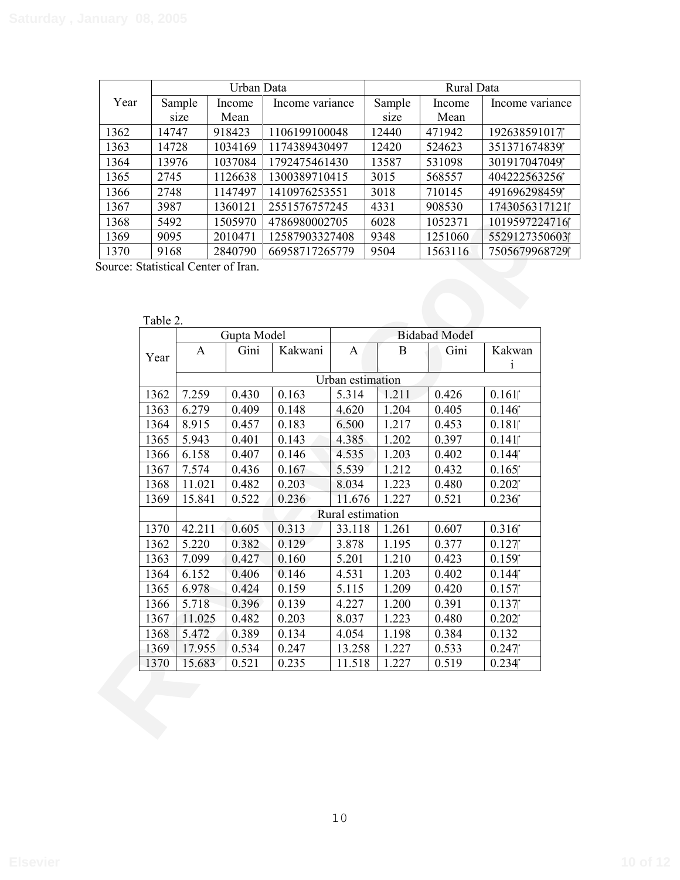|      | Urban Data |         |                 | Rural Data |         |                 |  |
|------|------------|---------|-----------------|------------|---------|-----------------|--|
| Year | Sample     | Income  | Income variance | Sample     | Income  | Income variance |  |
|      | size       | Mean    |                 | size       | Mean    |                 |  |
| 1362 | 14747      | 918423  | 1106199100048   | 12440      | 471942  | 192638591017    |  |
| 1363 | 14728      | 1034169 | 1174389430497   | 12420      | 524623  | 351371674839    |  |
| 1364 | 13976      | 1037084 | 1792475461430   | 13587      | 531098  | 301917047049    |  |
| 1365 | 2745       | 1126638 | 1300389710415   | 3015       | 568557  | 404222563256    |  |
| 1366 | 2748       | 1147497 | 1410976253551   | 3018       | 710145  | 491696298459    |  |
| 1367 | 3987       | 1360121 | 2551576757245   | 4331       | 908530  | 1743056317121   |  |
| 1368 | 5492       | 1505970 | 4786980002705   | 6028       | 1052371 | 1019597224716   |  |
| 1369 | 9095       | 2010471 | 12587903327408  | 9348       | 1251060 | 5529127350603   |  |
| 1370 | 9168       | 2840790 | 66958717265779  | 9504       | 1563116 | 7505679968729   |  |

|      | 10110    |                  | 1 0 J 7 0 U 1                       | 17721701100    |                  | 100 i |                      | 7017101011    |
|------|----------|------------------|-------------------------------------|----------------|------------------|-------|----------------------|---------------|
| 1365 | 2745     |                  | 1126638                             | 1300389710415  |                  | 3015  | 568557               | 404222563256  |
| 1366 | 2748     |                  | 1147497                             | 1410976253551  |                  | 3018  | 710145               | 491696298459  |
| 1367 | 3987     |                  | 1360121                             | 2551576757245  |                  | 4331  | 908530               | 1743056317121 |
| 1368 | 5492     |                  | 1505970                             | 4786980002705  |                  | 6028  | 1052371              | 1019597224716 |
| 1369 | 9095     |                  | 2010471                             | 12587903327408 |                  | 9348  | 1251060              | 5529127350603 |
| 1370 | 9168     |                  | 2840790                             | 66958717265779 |                  | 9504  | 1563116              | 7505679968729 |
|      |          |                  | Source: Statistical Center of Iran. |                |                  |       |                      |               |
|      | Table 2. |                  | Gupta Model                         |                |                  |       | <b>Bidabad Model</b> |               |
|      |          | A                | Gini                                | Kakwani        | A                | B     | Gini                 | Kakwan        |
|      | Year     |                  |                                     |                |                  |       |                      | $\mathbf{i}$  |
|      |          |                  |                                     |                | Urban estimation |       |                      |               |
|      | 1362     | 7.259            | 0.430                               | 0.163          | 5.314            | 1.211 | 0.426                | 0.161         |
|      | 1363     | 6.279            | 0.409                               | 0.148          | 4.620            | 1.204 | 0.405                | 0.146         |
|      | 1364     | 8.915            | 0.457                               | 0.183          | 6.500            | 1.217 | 0.453                | 0.181         |
|      | 1365     | 5.943            | 0.401                               | 0.143          | 4.385            | 1.202 | 0.397                | 0.141         |
|      | 1366     | 6.158            | 0.407                               | 0.146          | 4.535            | 1.203 | 0.402                | 0.144         |
|      | 1367     | 7.574            | 0.436                               | 0.167          | 5.539            | 1.212 | 0.432                | 0.165         |
|      | 1368     | 11.021           | 0.482                               | 0.203          | 8.034            | 1.223 | 0.480                | 0.202         |
|      | 1369     | 15.841           | 0.522                               | 0.236          | 11.676           | 1.227 | 0.521                | 0.236         |
|      |          | Rural estimation |                                     |                |                  |       |                      |               |
|      | 1370     | 42.211           | 0.605                               | 0.313          | 33.118           | 1.261 | 0.607                | 0.316         |
|      | 1362     | 5.220            | 0.382                               | 0.129          | 3.878            | 1.195 | 0.377                | 0.127         |
|      | 1363     | 7.099            | 0.427                               | 0.160          | 5.201            | 1.210 | 0.423                | 0.159         |
|      | 1364     | 6.152            | 0.406                               | 0.146          | 4.531            | 1.203 | 0.402                | 0.144         |
|      | 1365     | 6.978            | 0.424                               | 0.159          | 5.115            | 1.209 | 0.420                | 0.157         |
|      | 1366     | 5.718            | 0.396                               | 0.139          | 4.227            | 1.200 | 0.391                | 0.137         |
|      | 1367     | 11.025           | 0.482                               | 0.203          | 8.037            | 1.223 | 0.480                | 0.202         |
|      | 1368     | 5.472            | 0.389                               | 0.134          | 4.054            | 1.198 | 0.384                | 0.132         |
|      | 1369     | 17.955           | 0.534                               | 0.247          | 13.258           | 1.227 | 0.533                | 0.247         |
|      | 1370     | 15.683           | 0.521                               | 0.235          | 11.518           | 1.227 | 0.519                | 0.234         |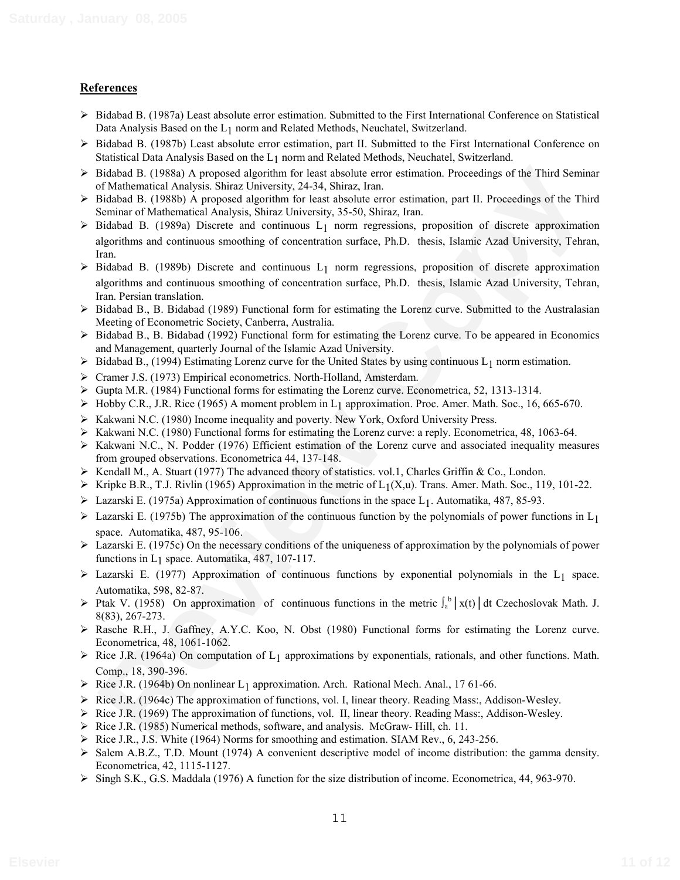### **References**

- $\triangleright$  Bidabad B. (1987a) Least absolute error estimation. Submitted to the First International Conference on Statistical Data Analysis Based on the L<sub>1</sub> norm and Related Methods, Neuchatel, Switzerland.
- $\triangleright$  Bidabad B. (1987b) Least absolute error estimation, part II. Submitted to the First International Conference on Statistical Data Analysis Based on the L1 norm and Related Methods, Neuchatel, Switzerland.
- $\triangleright$  Bidabad B. (1988a) A proposed algorithm for least absolute error estimation. Proceedings of the Third Seminar of Mathematical Analysis. Shiraz University, 24-34, Shiraz, Iran.
- $\triangleright$  Bidabad B. (1988b) A proposed algorithm for least absolute error estimation, part II. Proceedings of the Third Seminar of Mathematical Analysis, Shiraz University, 35-50, Shiraz, Iran.
- $\triangleright$  Bidabad B. (1989a) Discrete and continuous L<sub>1</sub> norm regressions, proposition of discrete approximation algorithms and continuous smoothing of concentration surface, Ph.D. thesis, Islamic Azad University, Tehran, Iran.
- Bishball B. (1988) A proposed algorithin for least absolute error estimation. Proceedings of the Third Senting-<br>Fishball B. (1888) A proposed algorithm for least absolute error estimation, part II. Proceedings of the Thir  $\triangleright$  Bidabad B. (1989b) Discrete and continuous L<sub>1</sub> norm regressions, proposition of discrete approximation algorithms and continuous smoothing of concentration surface, Ph.D. thesis, Islamic Azad University, Tehran, Iran. Persian translation.
- Bidabad B., B. Bidabad (1989) Functional form for estimating the Lorenz curve. Submitted to the Australasian Meeting of Econometric Society, Canberra, Australia.
- $\triangleright$  Bidabad B., B. Bidabad (1992) Functional form for estimating the Lorenz curve. To be appeared in Economics and Management, quarterly Journal of the Islamic Azad University.
- $\triangleright$  Bidabad B., (1994) Estimating Lorenz curve for the United States by using continuous L<sub>1</sub> norm estimation.
- Cramer J.S. (1973) Empirical econometrics. North-Holland, Amsterdam.
- $\triangleright$  Gupta M.R. (1984) Functional forms for estimating the Lorenz curve. Econometrica, 52, 1313-1314.
- $\triangleright$  Hobby C.R., J.R. Rice (1965) A moment problem in L<sub>1</sub> approximation. Proc. Amer. Math. Soc., 16, 665-670.
- $\triangleright$  Kakwani N.C. (1980) Income inequality and poverty. New York, Oxford University Press.
- $\triangleright$  Kakwani N.C. (1980) Functional forms for estimating the Lorenz curve: a reply. Econometrica, 48, 1063-64.
- $\triangleright$  Kakwani N.C., N. Podder (1976) Efficient estimation of the Lorenz curve and associated inequality measures from grouped observations. Econometrica 44, 137-148.
- $\triangleright$  Kendall M., A. Stuart (1977) The advanced theory of statistics. vol.1, Charles Griffin & Co., London.
- $\triangleright$  Kripke B.R., T.J. Rivlin (1965) Approximation in the metric of L<sub>1</sub>(X,u). Trans. Amer. Math. Soc., 119, 101-22.
- $\triangleright$  Lazarski E. (1975a) Approximation of continuous functions in the space L<sub>1</sub>. Automatika, 487, 85-93.
- $\triangleright$  Lazarski E. (1975b) The approximation of the continuous function by the polynomials of power functions in L<sub>1</sub> space. Automatika, 487, 95-106.
- $\triangleright$  Lazarski E. (1975c) On the necessary conditions of the uniqueness of approximation by the polynomials of power functions in  $L_1$  space. Automatika, 487, 107-117.
- $\triangleright$  Lazarski E. (1977) Approximation of continuous functions by exponential polynomials in the L<sub>1</sub> space. Automatika, 598, 82-87.
- $\triangleright$  Ptak V. (1958) On approximation of continuous functions in the metric  $\int_a^b |x(t)| dt$  Czechoslovak Math. J. 8(83), 267-273.
- Rasche R.H., J. Gaffney, A.Y.C. Koo, N. Obst (1980) Functional forms for estimating the Lorenz curve. Econometrica, 48, 1061-1062.
- $\triangleright$  Rice J.R. (1964a) On computation of L<sub>1</sub> approximations by exponentials, rationals, and other functions. Math. Comp., 18, 390-396.
- $\triangleright$  Rice J.R. (1964b) On nonlinear L<sub>1</sub> approximation. Arch. Rational Mech. Anal., 17 61-66.
- $\triangleright$  Rice J.R. (1964c) The approximation of functions, vol. I, linear theory. Reading Mass:, Addison-Wesley.
- $\triangleright$  Rice J.R. (1969) The approximation of functions, vol. II, linear theory. Reading Mass:, Addison-Wesley.
- $\triangleright$  Rice J.R. (1985) Numerical methods, software, and analysis. McGraw- Hill, ch. 11.
- $\triangleright$  Rice J.R., J.S. White (1964) Norms for smoothing and estimation. SIAM Rev., 6, 243-256.
- $\triangleright$  Salem A.B.Z., T.D. Mount (1974) A convenient descriptive model of income distribution: the gamma density. Econometrica, 42, 1115-1127.
- Singh S.K., G.S. Maddala (1976) A function for the size distribution of income. Econometrica, 44, 963-970.